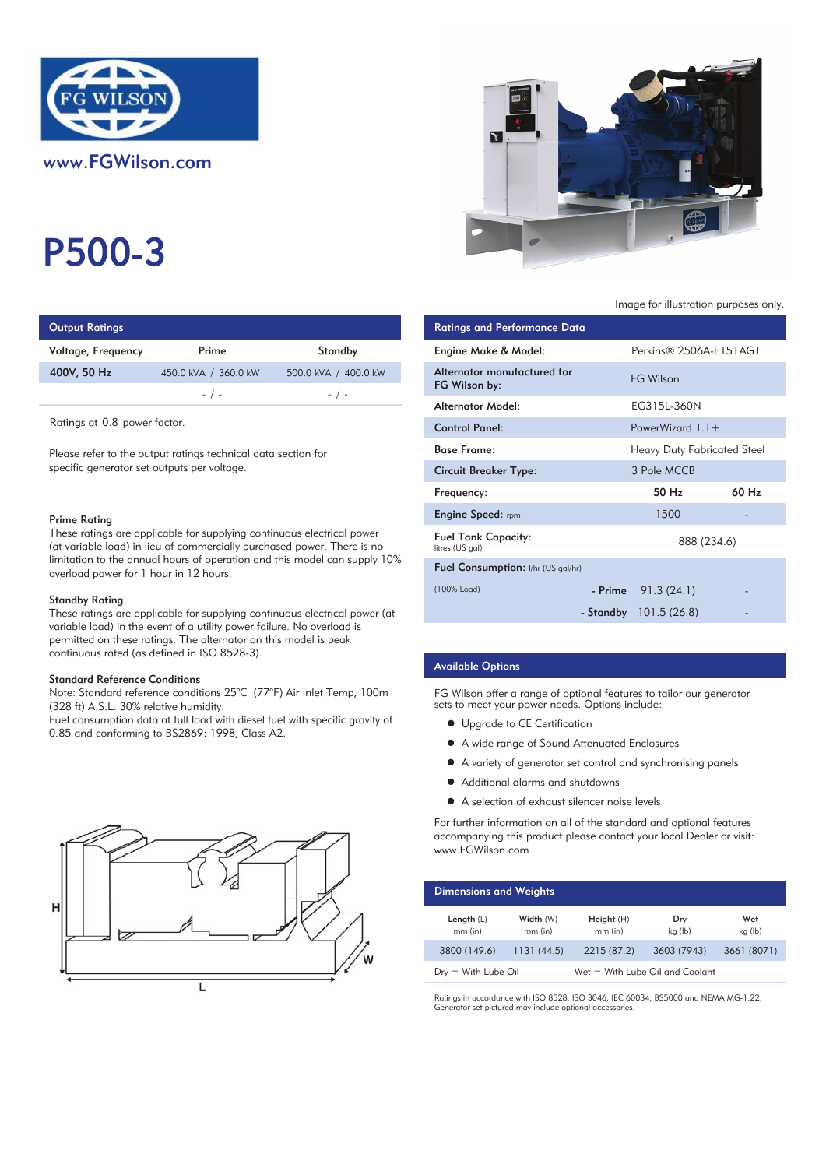

# P500-3

| <b>Output Ratings</b> |                      |                      | <b>Ratings and Performance Data</b> |
|-----------------------|----------------------|----------------------|-------------------------------------|
| Voltage, Frequency    | Prime                | Standby              | Engine Make & Model:                |
| 400V, 50 Hz           | 450.0 kVA / 360.0 kW | 500.0 kVA / 400.0 kW | Alternator manufactured for         |
|                       | $-$ / $-$            | $-$ / $-$            | FG Wilson by:                       |
|                       |                      | Altoupotau AAndal:   |                                     |

Ratings at 0.8 power factor.

Please refer to the output ratings technical data section for specific generator set outputs per voltage.

#### Prime Rating

These ratings are applicable for supplying continuous electrical power (at variable load) in lieu of commercially purchased power. There is no limitation to the annual hours of operation and this model can supply 10% overload power for 1 hour in 12 hours.

#### Standby Rating

These ratings are applicable for supplying continuous electrical power (at variable load) in the event of a utility power failure. No overload is permitted on these ratings. The alternator on this model is peak continuous rated (as defined in ISO 8528-3).

#### Standard Reference Conditions

Note: Standard reference conditions 25°C (77°F) Air Inlet Temp, 100m (328 ft) A.S.L. 30% relative humidity.

Fuel consumption data at full load with diesel fuel with specific gravity of 0.85 and conforming to BS2869: 1998, Class A2.





#### Image for illustration purposes only.

| <b>Ratings and Performance Data</b>           |                                    |       |
|-----------------------------------------------|------------------------------------|-------|
| Engine Make & Model:                          | Perkins® 2506A-E15TAG1             |       |
| Alternator manufactured for<br>FG Wilson by:  | <b>FG Wilson</b>                   |       |
| Alternator Model:                             | EG315L-360N                        |       |
| <b>Control Panel:</b>                         | PowerWizard $1.1+$                 |       |
| <b>Base Frame:</b>                            | <b>Heavy Duty Fabricated Steel</b> |       |
| <b>Circuit Breaker Type:</b>                  | 3 Pole MCCB                        |       |
| Frequency:                                    | 50 H <sub>z</sub>                  | 60 Hz |
| <b>Engine Speed:</b> rpm                      | 1500                               |       |
| <b>Fuel Tank Capacity:</b><br>litres (US gal) | 888 (234.6)                        |       |
| <b>Fuel Consumption:</b> I/hr (US gal/hr)     |                                    |       |
| (100% Load)                                   | $-$ Prime $91.3(24.1)$             |       |
|                                               | - Standby 101.5 (26.8)             |       |

## Available Options

FG Wilson offer a range of optional features to tailor our generator sets to meet your power needs. Options include:

- **•** Upgrade to CE Certification
- A wide range of Sound Attenuated Enclosures
- A variety of generator set control and synchronising panels
- Additional alarms and shutdowns
- A selection of exhaust silencer noise levels

For further information on all of the standard and optional features accompanying this product please contact your local Dealer or visit: www.FGWilson.com

| <b>Dimensions and Weights</b> |                        |                                 |                |                |
|-------------------------------|------------------------|---------------------------------|----------------|----------------|
| Length $(L)$<br>$mm$ (in)     | Width (W)<br>$mm$ (in) | Height(H)<br>$mm$ (in)          | Dry<br>kg (lb) | Wet<br>kg (lb) |
| 3800 (149.6)                  | 1131(44.5)             | 2215 (87.2)                     | 3603 (7943)    | 3661 (8071)    |
| $Drv = With Lube Oil$         |                        | Wet = With Lube Oil and Coolant |                |                |

Ratings in accordance with ISO 8528, ISO 3046, IEC 60034, BS5000 and NEMA MG-1.22. Generator set pictured may include optional accessories.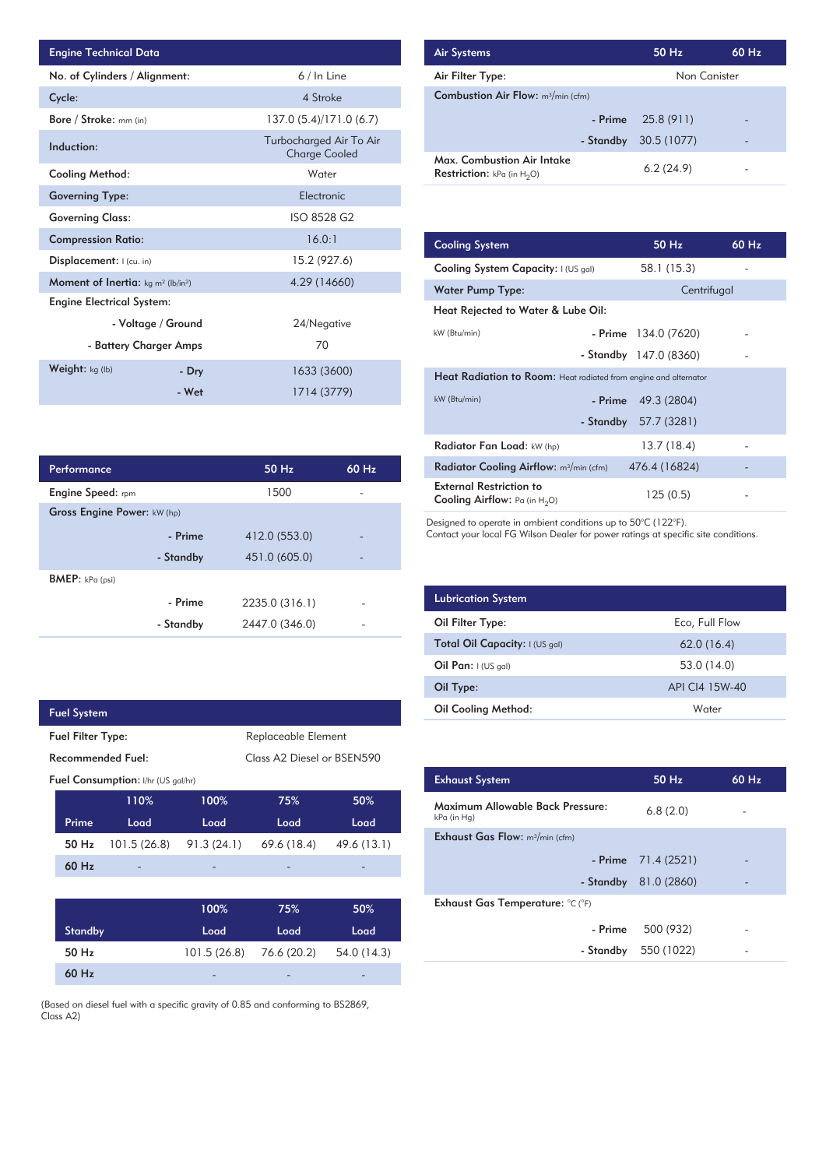| <b>Engine Technical Data</b>                                |                    |                                                 | <b>Air Systems</b>  |
|-------------------------------------------------------------|--------------------|-------------------------------------------------|---------------------|
| No. of Cylinders / Alignment:                               |                    | 6 / In Line                                     | Air Filter Ty       |
| Cycle:                                                      |                    | 4 Stroke                                        | Combustion          |
| Bore / Stroke: mm (in)                                      |                    | 137.0 (5.4)/171.0 (6.7)                         |                     |
| Induction:                                                  |                    | Turbocharged Air To Air<br><b>Charge Cooled</b> | Max. Comb           |
| Cooling Method:                                             |                    | Water                                           | <b>Restriction:</b> |
| <b>Governing Type:</b>                                      |                    | Electronic                                      |                     |
| <b>Governing Class:</b>                                     |                    | ISO 8528 G2                                     |                     |
| <b>Compression Ratio:</b>                                   |                    | 16.0:1                                          | <b>Cooling Sys</b>  |
| Displacement:   (cu. in)                                    |                    | 15.2 (927.6)                                    | <b>Cooling Sys</b>  |
| <b>Moment of Inertia:</b> $kg \, m^2$ (lb/in <sup>2</sup> ) |                    | 4.29 (14660)                                    | Water Pum           |
| <b>Engine Electrical System:</b>                            |                    |                                                 | <b>Heat Reject</b>  |
|                                                             | - Voltage / Ground | 24/Negative                                     |                     |
| - Battery Charger Amps                                      |                    | 70                                              | kW (Btu/min)        |
| Weight: kg (lb)                                             | - Dry              | 1633 (3600)                                     | <b>Heat Radia</b>   |
|                                                             | - Wet              | 1714 (3779)                                     | kW (Btu/min)        |

| <b>Air Systems</b>                                                 | $50$ Hz      | 60 Hz |
|--------------------------------------------------------------------|--------------|-------|
| Air Filter Type:                                                   | Non Canister |       |
| <b>Combustion Air Flow:</b> m <sup>3</sup> /min (cfm)              |              |       |
| - Prime                                                            | 25.8 (911)   |       |
| - Standby                                                          | 30.5 (1077)  | -     |
| Max. Combustion Air Intake<br><b>Restriction:</b> kPa (in $H_2O$ ) | 6.2(24.9)    |       |

| 16.0:1         | <b>Cooling System</b>                                                     | 50 Hz                   | $60$ Hz |
|----------------|---------------------------------------------------------------------------|-------------------------|---------|
| 15.2 (927.6)   | Cooling System Capacity: I (US gal)                                       | 58.1 (15.3)             |         |
| 4.29 (14660)   | Water Pump Type:                                                          | Centrifugal             |         |
|                | Heat Rejected to Water & Lube Oil:                                        |                         |         |
| 24/Negative    | kW (Btu/min)                                                              | $-$ Prime $134.0(7620)$ |         |
| 70             |                                                                           | - Standby 147.0 (8360)  |         |
| 1633 (3600)    | <b>Heat Radiation to Room:</b> Heat radiated from engine and alternator   |                         |         |
| 1714 (3779)    | kW (Btu/min)                                                              | 49.3 (2804)<br>- Prime  |         |
|                | - Standby                                                                 | 57.7 (3281)             |         |
|                | Radiator Fan Load: kW (hp)                                                | 13.7 (18.4)             |         |
| 50 Hz<br>60 Hz | Radiator Cooling Airflow: m <sup>3</sup> /min (cfm)                       | 476.4 (16824)           |         |
| 1500           | <b>External Restriction to</b><br><b>Cooling Airflow:</b> Pa (in $H_2O$ ) | 125(0.5)                |         |

Designed to operate in ambient conditions up to 50°C (122°F).

Contact your local FG Wilson Dealer for power ratings at specific site conditions.

| <b>Lubrication System</b>      |                |
|--------------------------------|----------------|
| Oil Filter Type:               | Eco, Full Flow |
| Total Oil Capacity: I (US gal) | 62.0(16.4)     |
| Oil Pan: $I (US gal)$          | 53.0 (14.0)    |
| Oil Type:                      | API CI4 15W-40 |
| <b>Oil Cooling Method:</b>     | Water          |

| <b>Exhaust System</b>                           | $50$ Hz                | $60$ Hz |
|-------------------------------------------------|------------------------|---------|
| Maximum Allowable Back Pressure:<br>kPa (in Hg) | 6.8(2.0)               |         |
| <b>Exhaust Gas Flow:</b> $m^3/m$ in (cfm)       |                        |         |
|                                                 | - Prime $71.4(2521)$   |         |
|                                                 | - Standby $81.0(2860)$ |         |
| Exhaust Gas Temperature: °C (°F)                |                        |         |
| - Prime                                         | 500 (932)              |         |
| - Standby                                       | 550 (1022)             |         |
|                                                 |                        |         |

| Performance                 |           | 50 Hz          | 60 Hz |  |
|-----------------------------|-----------|----------------|-------|--|
| <b>Engine Speed:</b> rpm    |           | 1500           |       |  |
| Gross Engine Power: kW (hp) |           |                |       |  |
|                             | - Prime   | 412.0 (553.0)  |       |  |
|                             | - Standby | 451.0 (605.0)  |       |  |
| BMEP: kPa (psi)             |           |                |       |  |
|                             | - Prime   | 2235.0 (316.1) |       |  |
|                             | - Standby | 2447.0 (346.0) |       |  |

| <b>Fuel System</b>                              |                                    |             |                            |             |
|-------------------------------------------------|------------------------------------|-------------|----------------------------|-------------|
| Replaceable Element<br><b>Fuel Filter Type:</b> |                                    |             |                            |             |
|                                                 | Recommended Fuel:                  |             | Class A2 Diesel or BSEN590 |             |
|                                                 | Fuel Consumption: I/hr (US gal/hr) |             |                            |             |
|                                                 | 110%                               | 100%        | 75%                        | 50%         |
| Prime                                           | Load                               | Load        | Load                       | Load        |
| 50 Hz                                           | 101.5(26.8)                        | 91.3(24.1)  | 69.6 (18.4)                | 49.6 (13.1) |
| 60 Hz                                           |                                    |             |                            |             |
|                                                 |                                    |             |                            |             |
|                                                 |                                    | 100%        | 75%                        | 50%         |
| <b>Standby</b>                                  |                                    | Load        | Load                       | Load        |
| 50 Hz                                           |                                    | 101.5(26.8) | 76.6 (20.2)                | 54.0 (14.3) |
| 60 Hz                                           |                                    |             |                            |             |

(Based on diesel fuel with a specific gravity of 0.85 and conforming to BS2869, Class A2)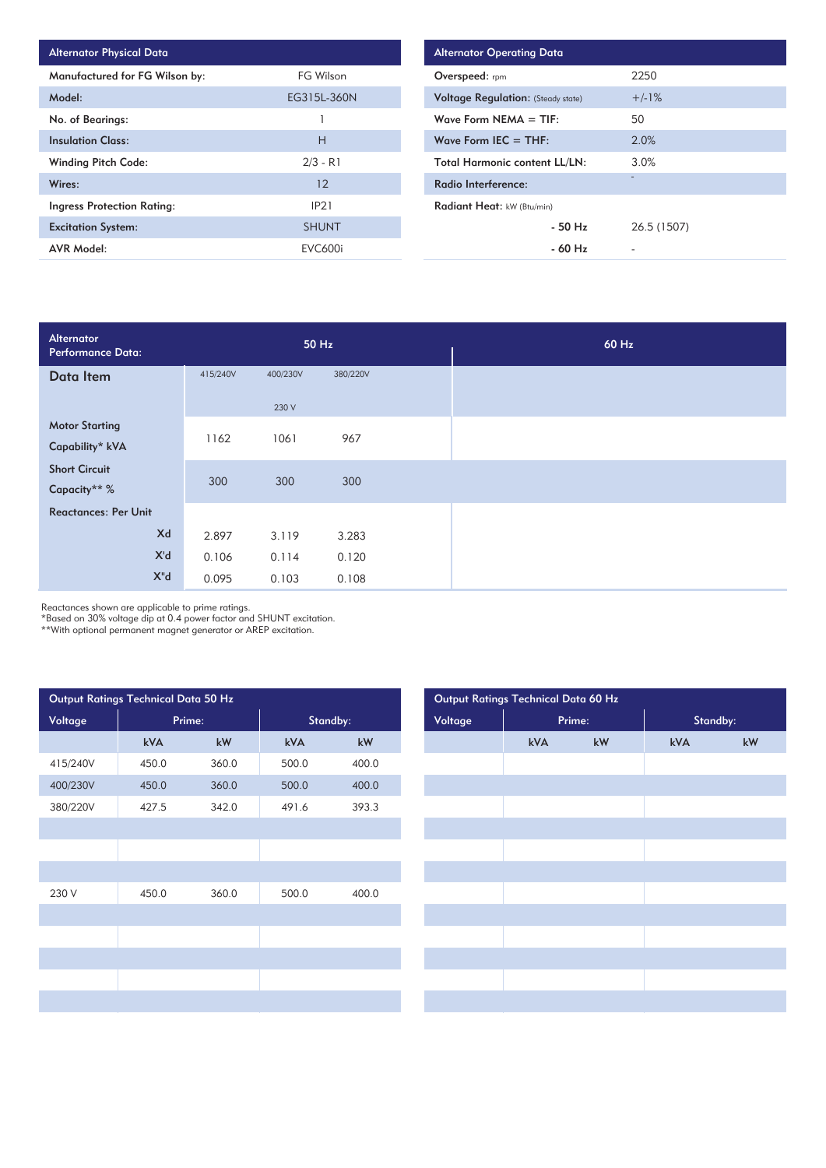| <b>Alternator Physical Data</b> |                |
|---------------------------------|----------------|
| Manufactured for FG Wilson by:  | FG Wilson      |
| Model:                          | EG315L-360N    |
| No. of Bearings:                |                |
| <b>Insulation Class:</b>        | н              |
| <b>Winding Pitch Code:</b>      | $2/3 - R1$     |
| Wires:                          | 12             |
| Ingress Protection Rating:      | IP21           |
| <b>Excitation System:</b>       | <b>SHUNT</b>   |
| AVR Model:                      | <b>EVC600i</b> |

| <b>Alternator Operating Data</b>          |             |
|-------------------------------------------|-------------|
| Overspeed: rpm                            | 2250        |
| <b>Voltage Regulation: (Steady state)</b> | $+/-1%$     |
| Wave Form $NEMA = TIF:$                   | 50          |
| Wave Form IEC $=$ THF:                    | 2.0%        |
| <b>Total Harmonic content LL/LN:</b>      | 3.0%        |
| Radio Interference:                       | -           |
| Radiant Heat: kW (Btu/min)                |             |
| $-50$ H <sub>z</sub>                      | 26.5 (1507) |
| $-60$ Hz                                  |             |

| Alternator<br><b>Performance Data:</b> |          |          | 50 Hz    |  |
|----------------------------------------|----------|----------|----------|--|
| Data Item                              | 415/240V | 400/230V | 380/220V |  |
|                                        |          | 230 V    |          |  |
| <b>Motor Starting</b>                  | 1162     | 1061     | 967      |  |
| Capability* kVA                        |          |          |          |  |
| <b>Short Circuit</b>                   | 300      | 300      | 300      |  |
| Capacity** %                           |          |          |          |  |
| <b>Reactances: Per Unit</b>            |          |          |          |  |
| Xd                                     | 2.897    | 3.119    | 3.283    |  |
| X'd                                    | 0.106    | 0.114    | 0.120    |  |
| $X^{\prime\prime}$ d                   | 0.095    | 0.103    | 0.108    |  |

Reactances shown are applicable to prime ratings.

\*Based on 30% voltage dip at 0.4 power factor and SHUNT excitation.

\*\*With optional permanent magnet generator or AREP excitation.

| Output Ratings Technical Data 50 Hz |        |                        |          |                        | Output Ratings Technical Data 60 Hz |     |                        |          |  |  |
|-------------------------------------|--------|------------------------|----------|------------------------|-------------------------------------|-----|------------------------|----------|--|--|
| Voltage                             | Prime: |                        | Standby: |                        | Voltage                             |     | Prime:                 | Standby: |  |  |
|                                     | kVA    | $\mathsf{k}\mathsf{W}$ | kVA      | $\mathsf{k}\mathsf{W}$ |                                     | kVA | $\mathsf{k}\mathsf{W}$ | kVA      |  |  |
| 415/240V                            | 450.0  | 360.0                  | 500.0    | 400.0                  |                                     |     |                        |          |  |  |
| 400/230V                            | 450.0  | 360.0                  | 500.0    | 400.0                  |                                     |     |                        |          |  |  |
| 380/220V                            | 427.5  | 342.0                  | 491.6    | 393.3                  |                                     |     |                        |          |  |  |
|                                     |        |                        |          |                        |                                     |     |                        |          |  |  |
|                                     |        |                        |          |                        |                                     |     |                        |          |  |  |
|                                     |        |                        |          |                        |                                     |     |                        |          |  |  |
| 230 V                               | 450.0  | 360.0                  | 500.0    | 400.0                  |                                     |     |                        |          |  |  |
|                                     |        |                        |          |                        |                                     |     |                        |          |  |  |
|                                     |        |                        |          |                        |                                     |     |                        |          |  |  |
|                                     |        |                        |          |                        |                                     |     |                        |          |  |  |
|                                     |        |                        |          |                        |                                     |     |                        |          |  |  |
|                                     |        |                        |          |                        |                                     |     |                        |          |  |  |
|                                     |        |                        |          |                        |                                     |     |                        |          |  |  |